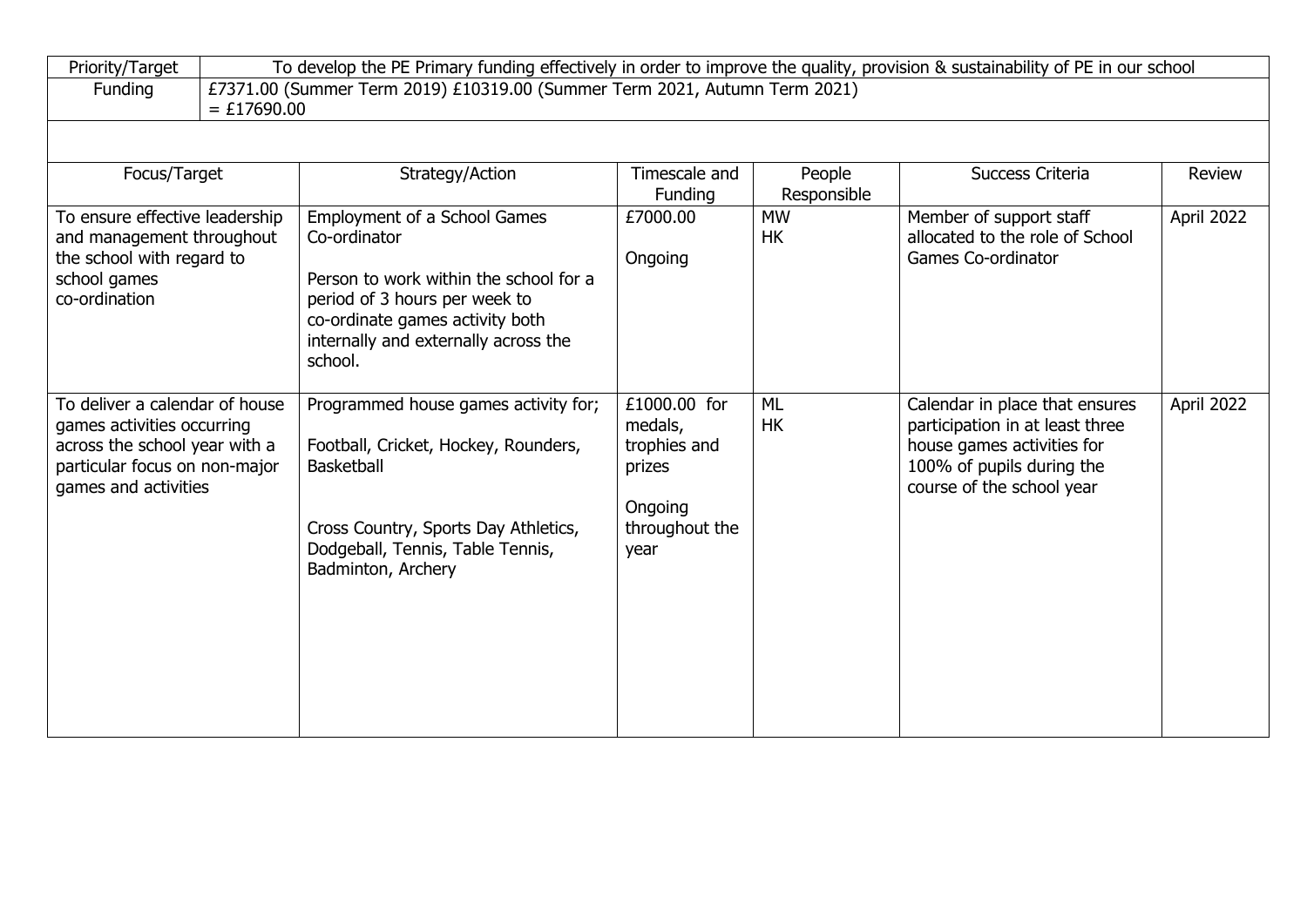| Priority/Target                                                                                                                                        | To develop the PE Primary funding effectively in order to improve the quality, provision & sustainability of PE in our school |                                                                                                                                                                                                               |                                                                                        |                        |                                                                                                                                                           |            |  |  |
|--------------------------------------------------------------------------------------------------------------------------------------------------------|-------------------------------------------------------------------------------------------------------------------------------|---------------------------------------------------------------------------------------------------------------------------------------------------------------------------------------------------------------|----------------------------------------------------------------------------------------|------------------------|-----------------------------------------------------------------------------------------------------------------------------------------------------------|------------|--|--|
| Funding                                                                                                                                                | £7371.00 (Summer Term 2019) £10319.00 (Summer Term 2021, Autumn Term 2021)                                                    |                                                                                                                                                                                                               |                                                                                        |                        |                                                                                                                                                           |            |  |  |
|                                                                                                                                                        | $= £17690.00$                                                                                                                 |                                                                                                                                                                                                               |                                                                                        |                        |                                                                                                                                                           |            |  |  |
|                                                                                                                                                        |                                                                                                                               |                                                                                                                                                                                                               |                                                                                        |                        |                                                                                                                                                           |            |  |  |
| Focus/Target                                                                                                                                           |                                                                                                                               | Strategy/Action                                                                                                                                                                                               | Timescale and<br>Funding                                                               | People<br>Responsible  | Success Criteria                                                                                                                                          | Review     |  |  |
| To ensure effective leadership<br>and management throughout<br>the school with regard to<br>school games<br>co-ordination                              |                                                                                                                               | Employment of a School Games<br>Co-ordinator<br>Person to work within the school for a<br>period of 3 hours per week to<br>co-ordinate games activity both<br>internally and externally across the<br>school. | £7000.00<br>Ongoing                                                                    | <b>MW</b><br><b>HK</b> | Member of support staff<br>allocated to the role of School<br>Games Co-ordinator                                                                          | April 2022 |  |  |
| To deliver a calendar of house<br>games activities occurring<br>across the school year with a<br>particular focus on non-major<br>games and activities |                                                                                                                               | Programmed house games activity for;<br>Football, Cricket, Hockey, Rounders,<br><b>Basketball</b><br>Cross Country, Sports Day Athletics,<br>Dodgeball, Tennis, Table Tennis,<br>Badminton, Archery           | £1000.00 for<br>medals,<br>trophies and<br>prizes<br>Ongoing<br>throughout the<br>year | <b>ML</b><br><b>HK</b> | Calendar in place that ensures<br>participation in at least three<br>house games activities for<br>100% of pupils during the<br>course of the school year | April 2022 |  |  |